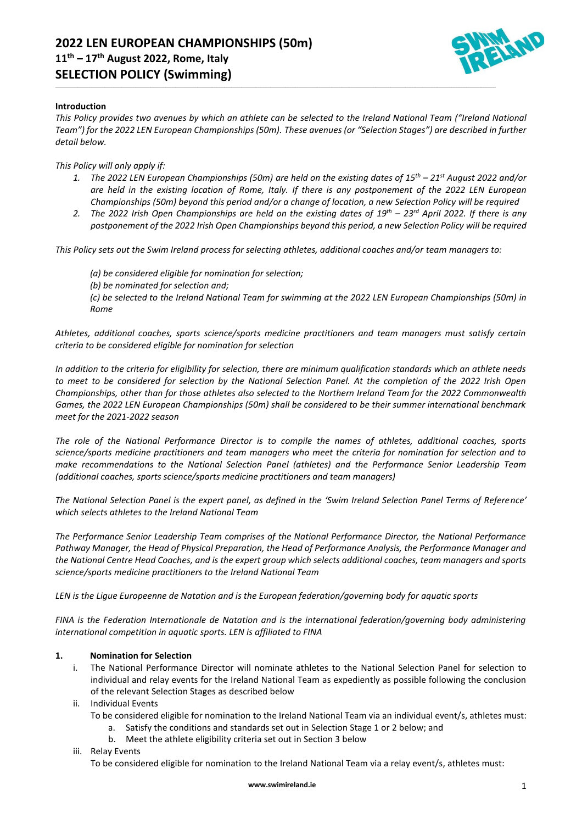

### **Introduction**

*This Policy provides two avenues by which an athlete can be selected to the Ireland National Team ("Ireland National Team") for the 2022 LEN European Championships (50m). These avenues (or "Selection Stages") are described in further detail below.*

\_\_\_\_\_\_\_\_\_\_\_\_\_\_\_\_\_\_\_\_\_\_\_\_\_\_\_\_\_\_\_\_\_\_\_\_\_\_\_\_\_\_\_\_\_\_\_\_\_\_\_\_\_\_\_\_\_\_\_\_\_\_\_\_\_\_\_\_\_\_\_\_\_\_\_\_\_\_\_\_\_\_\_\_\_\_\_\_\_\_\_\_\_\_\_\_\_\_\_\_\_\_\_\_\_\_\_\_\_\_\_\_\_\_\_\_\_\_\_\_\_\_\_\_\_\_\_\_\_\_\_\_\_\_\_\_\_\_\_\_\_\_\_\_\_\_\_\_\_\_\_\_\_\_\_\_\_\_\_\_\_\_\_\_\_\_\_\_\_\_\_\_\_\_\_\_\_\_\_\_

*This Policy will only apply if:*

- *1. The 2022 LEN European Championships (50m) are held on the existing dates of 15th – 21st August 2022 and/or are held in the existing location of Rome, Italy. If there is any postponement of the 2022 LEN European Championships (50m) beyond this period and/or a change of location, a new Selection Policy will be required*
- *2. The 2022 Irish Open Championships are held on the existing dates of 19th – 23 rd April 2022. If there is any postponement of the 2022 Irish Open Championships beyond this period, a new Selection Policy will be required*

*This Policy sets out the Swim Ireland process for selecting athletes, additional coaches and/or team managers to:*

*(a) be considered eligible for nomination for selection;*

*(b) be nominated for selection and;*

*(c) be selected to the Ireland National Team for swimming at the 2022 LEN European Championships (50m) in Rome*

*Athletes, additional coaches, sports science/sports medicine practitioners and team managers must satisfy certain criteria to be considered eligible for nomination for selection*

*In addition to the criteria for eligibility for selection, there are minimum qualification standards which an athlete needs to meet to be considered for selection by the National Selection Panel. At the completion of the 2022 Irish Open Championships, other than for those athletes also selected to the Northern Ireland Team for the 2022 Commonwealth Games, the 2022 LEN European Championships (50m) shall be considered to be their summer international benchmark meet for the 2021-2022 season*

*The role of the National Performance Director is to compile the names of athletes, additional coaches, sports science/sports medicine practitioners and team managers who meet the criteria for nomination for selection and to make recommendations to the National Selection Panel (athletes) and the Performance Senior Leadership Team (additional coaches, sports science/sports medicine practitioners and team managers)*

*The National Selection Panel is the expert panel, as defined in the 'Swim Ireland Selection Panel Terms of Reference' which selects athletes to the Ireland National Team*

*The Performance Senior Leadership Team comprises of the National Performance Director, the National Performance Pathway Manager, the Head of Physical Preparation, the Head of Performance Analysis, the Performance Manager and the National Centre Head Coaches, and is the expert group which selects additional coaches, team managers and sports science/sports medicine practitioners to the Ireland National Team*

*LEN is the Ligue Europeenne de Natation and is the European federation/governing body for aquatic sports*

*FINA is the Federation Internationale de Natation and is the international federation/governing body administering international competition in aquatic sports. LEN is affiliated to FINA*

#### **1. Nomination for Selection**

- i. The National Performance Director will nominate athletes to the National Selection Panel for selection to individual and relay events for the Ireland National Team as expediently as possible following the conclusion of the relevant Selection Stages as described below
- ii. Individual Events
	- To be considered eligible for nomination to the Ireland National Team via an individual event/s, athletes must:
		- a. Satisfy the conditions and standards set out in Selection Stage 1 or 2 below; and
		- b. Meet the athlete eligibility criteria set out in Section 3 below
- iii. Relay Events

To be considered eligible for nomination to the Ireland National Team via a relay event/s, athletes must: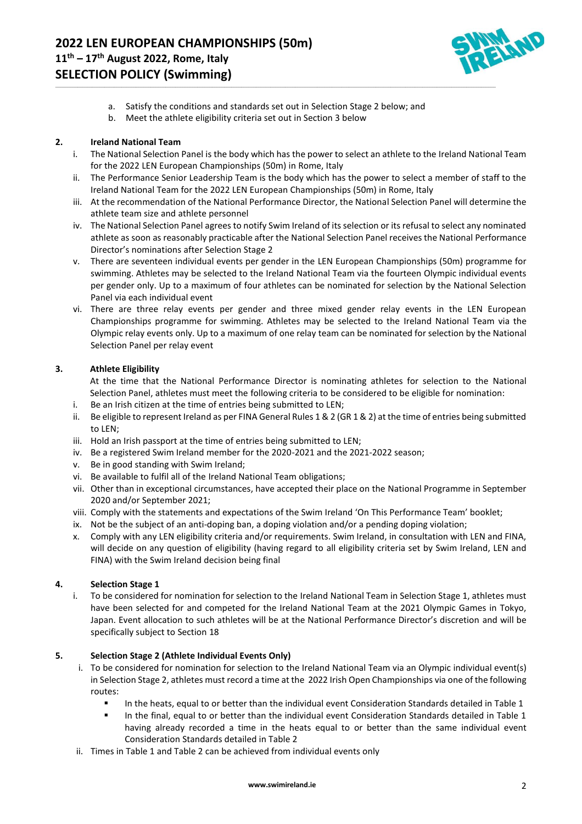

a. Satisfy the conditions and standards set out in Selection Stage 2 below; and

\_\_\_\_\_\_\_\_\_\_\_\_\_\_\_\_\_\_\_\_\_\_\_\_\_\_\_\_\_\_\_\_\_\_\_\_\_\_\_\_\_\_\_\_\_\_\_\_\_\_\_\_\_\_\_\_\_\_\_\_\_\_\_\_\_\_\_\_\_\_\_\_\_\_\_\_\_\_\_\_\_\_\_\_\_\_\_\_\_\_\_\_\_\_\_\_\_\_\_\_\_\_\_\_\_\_\_\_\_\_\_\_\_\_\_\_\_\_\_\_\_\_\_\_\_\_\_\_\_\_\_\_\_\_\_\_\_\_\_\_\_\_\_\_\_\_\_\_\_\_\_\_\_\_\_\_\_\_\_\_\_\_\_\_\_\_\_\_\_\_\_\_\_\_\_\_\_\_\_\_

b. Meet the athlete eligibility criteria set out in Section 3 below

#### **2. Ireland National Team**

- i. The National Selection Panel is the body which has the power to select an athlete to the Ireland National Team for the 2022 LEN European Championships (50m) in Rome, Italy
- ii. The Performance Senior Leadership Team is the body which has the power to select a member of staff to the Ireland National Team for the 2022 LEN European Championships (50m) in Rome, Italy
- iii. At the recommendation of the National Performance Director, the National Selection Panel will determine the athlete team size and athlete personnel
- iv. The National Selection Panel agrees to notify Swim Ireland of its selection or its refusal to select any nominated athlete as soon as reasonably practicable after the National Selection Panel receives the National Performance Director's nominations after Selection Stage 2
- v. There are seventeen individual events per gender in the LEN European Championships (50m) programme for swimming. Athletes may be selected to the Ireland National Team via the fourteen Olympic individual events per gender only. Up to a maximum of four athletes can be nominated for selection by the National Selection Panel via each individual event
- vi. There are three relay events per gender and three mixed gender relay events in the LEN European Championships programme for swimming. Athletes may be selected to the Ireland National Team via the Olympic relay events only. Up to a maximum of one relay team can be nominated for selection by the National Selection Panel per relay event

#### **3. Athlete Eligibility**

At the time that the National Performance Director is nominating athletes for selection to the National Selection Panel, athletes must meet the following criteria to be considered to be eligible for nomination:

- i. Be an Irish citizen at the time of entries being submitted to LEN;
- ii. Be eligible to represent Ireland as per FINA General Rules 1 & 2 (GR 1 & 2) at the time of entries being submitted to LEN;
- iii. Hold an Irish passport at the time of entries being submitted to LEN;
- iv. Be a registered Swim Ireland member for the 2020-2021 and the 2021-2022 season;
- v. Be in good standing with Swim Ireland;
- vi. Be available to fulfil all of the Ireland National Team obligations;
- vii. Other than in exceptional circumstances, have accepted their place on the National Programme in September 2020 and/or September 2021;
- viii. Comply with the statements and expectations of the Swim Ireland 'On This Performance Team' booklet;
- ix. Not be the subject of an anti-doping ban, a doping violation and/or a pending doping violation;
- x. Comply with any LEN eligibility criteria and/or requirements. Swim Ireland, in consultation with LEN and FINA, will decide on any question of eligibility (having regard to all eligibility criteria set by Swim Ireland, LEN and FINA) with the Swim Ireland decision being final

# **4. Selection Stage 1**

i. To be considered for nomination for selection to the Ireland National Team in Selection Stage 1, athletes must have been selected for and competed for the Ireland National Team at the 2021 Olympic Games in Tokyo, Japan. Event allocation to such athletes will be at the National Performance Director's discretion and will be specifically subject to Section 18

#### **5. Selection Stage 2 (Athlete Individual Events Only)**

- i. To be considered for nomination for selection to the Ireland National Team via an Olympic individual event(s) in Selection Stage 2, athletes must record a time at the 2022 Irish Open Championships via one of the following routes:
	- In the heats, equal to or better than the individual event Consideration Standards detailed in Table 1
	- In the final, equal to or better than the individual event Consideration Standards detailed in Table 1 having already recorded a time in the heats equal to or better than the same individual event Consideration Standards detailed in Table 2
- ii. Times in Table 1 and Table 2 can be achieved from individual events only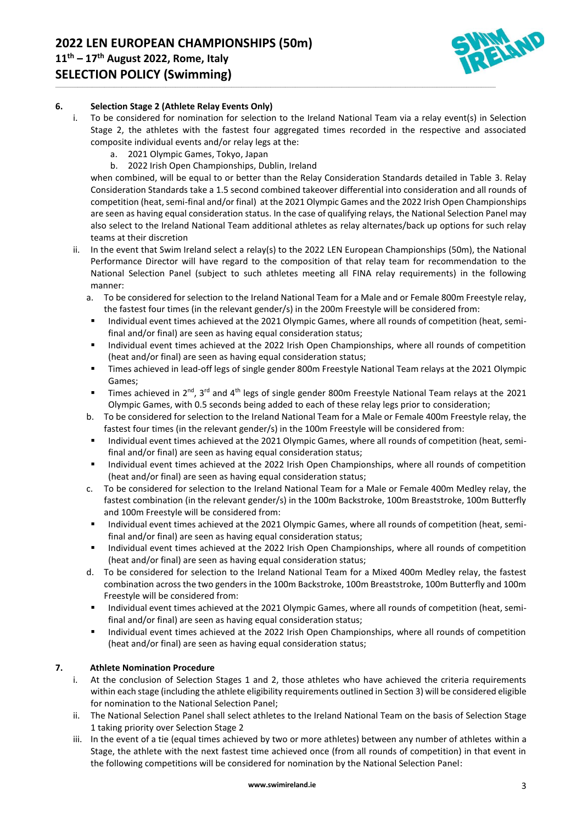

# **6. Selection Stage 2 (Athlete Relay Events Only)**

i. To be considered for nomination for selection to the Ireland National Team via a relay event(s) in Selection Stage 2, the athletes with the fastest four aggregated times recorded in the respective and associated composite individual events and/or relay legs at the:

\_\_\_\_\_\_\_\_\_\_\_\_\_\_\_\_\_\_\_\_\_\_\_\_\_\_\_\_\_\_\_\_\_\_\_\_\_\_\_\_\_\_\_\_\_\_\_\_\_\_\_\_\_\_\_\_\_\_\_\_\_\_\_\_\_\_\_\_\_\_\_\_\_\_\_\_\_\_\_\_\_\_\_\_\_\_\_\_\_\_\_\_\_\_\_\_\_\_\_\_\_\_\_\_\_\_\_\_\_\_\_\_\_\_\_\_\_\_\_\_\_\_\_\_\_\_\_\_\_\_\_\_\_\_\_\_\_\_\_\_\_\_\_\_\_\_\_\_\_\_\_\_\_\_\_\_\_\_\_\_\_\_\_\_\_\_\_\_\_\_\_\_\_\_\_\_\_\_\_\_

- a. 2021 Olympic Games, Tokyo, Japan
- b. 2022 Irish Open Championships, Dublin, Ireland

when combined, will be equal to or better than the Relay Consideration Standards detailed in Table 3. Relay Consideration Standards take a 1.5 second combined takeover differential into consideration and all rounds of competition (heat, semi-final and/or final) at the 2021 Olympic Games and the 2022 Irish Open Championships are seen as having equal consideration status. In the case of qualifying relays, the National Selection Panel may also select to the Ireland National Team additional athletes as relay alternates/back up options for such relay teams at their discretion

- ii. In the event that Swim Ireland select a relay(s) to the 2022 LEN European Championships (50m), the National Performance Director will have regard to the composition of that relay team for recommendation to the National Selection Panel (subject to such athletes meeting all FINA relay requirements) in the following manner:
	- a. To be considered for selection to the Ireland National Team for a Male and or Female 800m Freestyle relay, the fastest four times (in the relevant gender/s) in the 200m Freestyle will be considered from:
	- Individual event times achieved at the 2021 Olympic Games, where all rounds of competition (heat, semifinal and/or final) are seen as having equal consideration status;
	- Individual event times achieved at the 2022 Irish Open Championships, where all rounds of competition (heat and/or final) are seen as having equal consideration status;
	- Times achieved in lead-off legs of single gender 800m Freestyle National Team relays at the 2021 Olympic Games;
	- $\blacksquare$  Times achieved in 2<sup>nd</sup>, 3<sup>rd</sup> and 4<sup>th</sup> legs of single gender 800m Freestyle National Team relays at the 2021 Olympic Games, with 0.5 seconds being added to each of these relay legs prior to consideration;
	- b. To be considered for selection to the Ireland National Team for a Male or Female 400m Freestyle relay, the fastest four times (in the relevant gender/s) in the 100m Freestyle will be considered from:
	- Individual event times achieved at the 2021 Olympic Games, where all rounds of competition (heat, semifinal and/or final) are seen as having equal consideration status;
	- Individual event times achieved at the 2022 Irish Open Championships, where all rounds of competition (heat and/or final) are seen as having equal consideration status;
	- c. To be considered for selection to the Ireland National Team for a Male or Female 400m Medley relay, the fastest combination (in the relevant gender/s) in the 100m Backstroke, 100m Breaststroke, 100m Butterfly and 100m Freestyle will be considered from:
	- Individual event times achieved at the 2021 Olympic Games, where all rounds of competition (heat, semifinal and/or final) are seen as having equal consideration status;
	- Individual event times achieved at the 2022 Irish Open Championships, where all rounds of competition (heat and/or final) are seen as having equal consideration status;
	- d. To be considered for selection to the Ireland National Team for a Mixed 400m Medley relay, the fastest combination across the two genders in the 100m Backstroke, 100m Breaststroke, 100m Butterfly and 100m Freestyle will be considered from:
	- Individual event times achieved at the 2021 Olympic Games, where all rounds of competition (heat, semifinal and/or final) are seen as having equal consideration status;
	- Individual event times achieved at the 2022 Irish Open Championships, where all rounds of competition (heat and/or final) are seen as having equal consideration status;

#### **7. Athlete Nomination Procedure**

- i. At the conclusion of Selection Stages 1 and 2, those athletes who have achieved the criteria requirements within each stage (including the athlete eligibility requirements outlined in Section 3) will be considered eligible for nomination to the National Selection Panel;
- ii. The National Selection Panel shall select athletes to the Ireland National Team on the basis of Selection Stage 1 taking priority over Selection Stage 2
- iii. In the event of a tie (equal times achieved by two or more athletes) between any number of athletes within a Stage, the athlete with the next fastest time achieved once (from all rounds of competition) in that event in the following competitions will be considered for nomination by the National Selection Panel: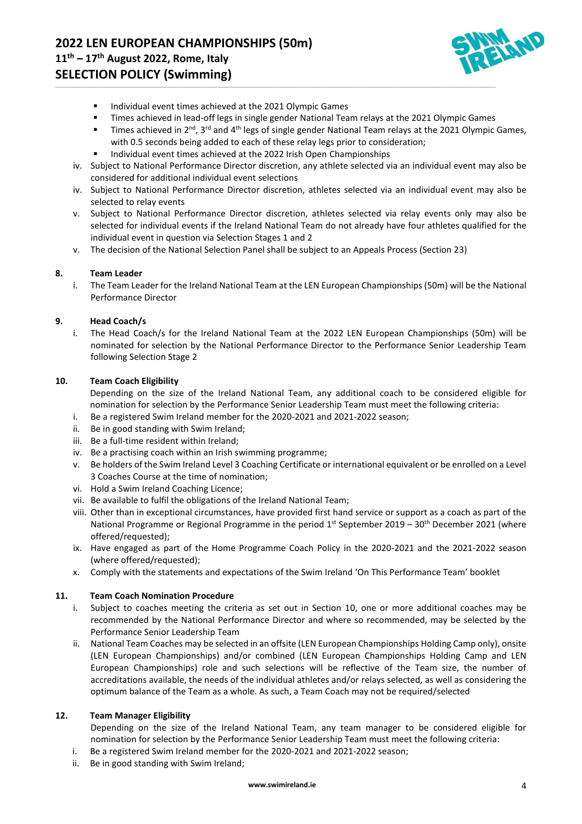# **11 th – 17th August 2022, Rome, Italy SELECTION POLICY (Swimming)**



- Individual event times achieved at the 2021 Olympic Games
- **•** Times achieved in lead-off legs in single gender National Team relays at the 2021 Olympic Games

\_\_\_\_\_\_\_\_\_\_\_\_\_\_\_\_\_\_\_\_\_\_\_\_\_\_\_\_\_\_\_\_\_\_\_\_\_\_\_\_\_\_\_\_\_\_\_\_\_\_\_\_\_\_\_\_\_\_\_\_\_\_\_\_\_\_\_\_\_\_\_\_\_\_\_\_\_\_\_\_\_\_\_\_\_\_\_\_\_\_\_\_\_\_\_\_\_\_\_\_\_\_\_\_\_\_\_\_\_\_\_\_\_\_\_\_\_\_\_\_\_\_\_\_\_\_\_\_\_\_\_\_\_\_\_\_\_\_\_\_\_\_\_\_\_\_\_\_\_\_\_\_\_\_\_\_\_\_\_\_\_\_\_\_\_\_\_\_\_\_\_\_\_\_\_\_\_\_\_\_

- Times achieved in 2<sup>nd</sup>, 3<sup>rd</sup> and 4<sup>th</sup> legs of single gender National Team relays at the 2021 Olympic Games, with 0.5 seconds being added to each of these relay legs prior to consideration;
- Individual event times achieved at the 2022 Irish Open Championships
- iv. Subject to National Performance Director discretion, any athlete selected via an individual event may also be considered for additional individual event selections
- iv. Subject to National Performance Director discretion, athletes selected via an individual event may also be selected to relay events
- v. Subject to National Performance Director discretion, athletes selected via relay events only may also be selected for individual events if the Ireland National Team do not already have four athletes qualified for the individual event in question via Selection Stages 1 and 2
- v. The decision of the National Selection Panel shall be subject to an Appeals Process (Section 23)

# **8. Team Leader**

i. The Team Leader for the Ireland National Team at the LEN European Championships (50m) will be the National Performance Director

# **9. Head Coach/s**

i. The Head Coach/s for the Ireland National Team at the 2022 LEN European Championships (50m) will be nominated for selection by the National Performance Director to the Performance Senior Leadership Team following Selection Stage 2

# **10. Team Coach Eligibility**

Depending on the size of the Ireland National Team, any additional coach to be considered eligible for nomination for selection by the Performance Senior Leadership Team must meet the following criteria:

- i. Be a registered Swim Ireland member for the 2020-2021 and 2021-2022 season;
- ii. Be in good standing with Swim Ireland;
- iii. Be a full-time resident within Ireland;
- iv. Be a practising coach within an Irish swimming programme;
- v. Be holders of the Swim Ireland Level 3 Coaching Certificate or international equivalent or be enrolled on a Level 3 Coaches Course at the time of nomination;
- vi. Hold a Swim Ireland Coaching Licence;
- vii. Be available to fulfil the obligations of the Ireland National Team;
- viii. Other than in exceptional circumstances, have provided first hand service or support as a coach as part of the National Programme or Regional Programme in the period  $1^{st}$  September 2019 – 30<sup>th</sup> December 2021 (where offered/requested);
- ix. Have engaged as part of the Home Programme Coach Policy in the 2020-2021 and the 2021-2022 season (where offered/requested);
- x. Comply with the statements and expectations of the Swim Ireland 'On This Performance Team' booklet

# **11. Team Coach Nomination Procedure**

- Subject to coaches meeting the criteria as set out in Section 10, one or more additional coaches may be recommended by the National Performance Director and where so recommended, may be selected by the Performance Senior Leadership Team
- ii. National Team Coaches may be selected in an offsite (LEN European Championships Holding Camp only), onsite (LEN European Championships) and/or combined (LEN European Championships Holding Camp and LEN European Championships) role and such selections will be reflective of the Team size, the number of accreditations available, the needs of the individual athletes and/or relays selected, as well as considering the optimum balance of the Team as a whole. As such, a Team Coach may not be required/selected

#### **12. Team Manager Eligibility**

Depending on the size of the Ireland National Team, any team manager to be considered eligible for nomination for selection by the Performance Senior Leadership Team must meet the following criteria:

- i. Be a registered Swim Ireland member for the 2020-2021 and 2021-2022 season;
- ii. Be in good standing with Swim Ireland;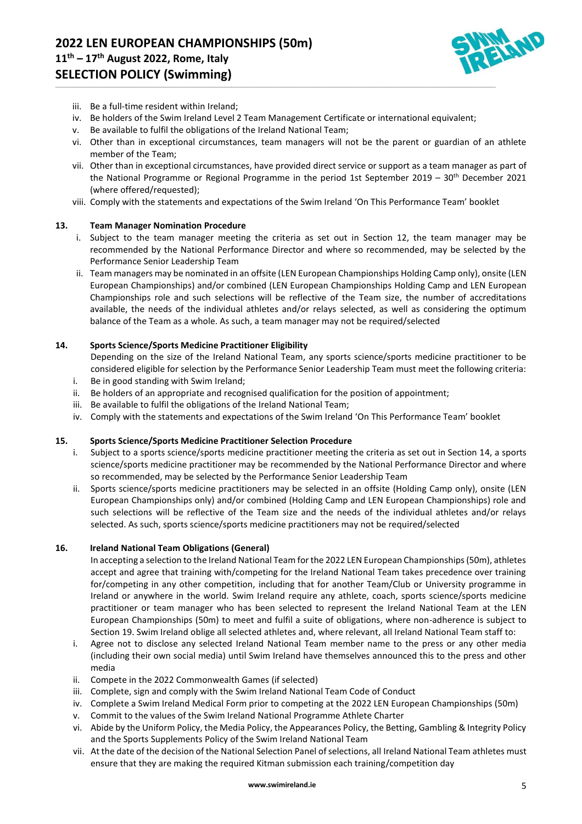

- iii. Be a full-time resident within Ireland;
- iv. Be holders of the Swim Ireland Level 2 Team Management Certificate or international equivalent;

\_\_\_\_\_\_\_\_\_\_\_\_\_\_\_\_\_\_\_\_\_\_\_\_\_\_\_\_\_\_\_\_\_\_\_\_\_\_\_\_\_\_\_\_\_\_\_\_\_\_\_\_\_\_\_\_\_\_\_\_\_\_\_\_\_\_\_\_\_\_\_\_\_\_\_\_\_\_\_\_\_\_\_\_\_\_\_\_\_\_\_\_\_\_\_\_\_\_\_\_\_\_\_\_\_\_\_\_\_\_\_\_\_\_\_\_\_\_\_\_\_\_\_\_\_\_\_\_\_\_\_\_\_\_\_\_\_\_\_\_\_\_\_\_\_\_\_\_\_\_\_\_\_\_\_\_\_\_\_\_\_\_\_\_\_\_\_\_\_\_\_\_\_\_\_\_\_\_\_\_

- v. Be available to fulfil the obligations of the Ireland National Team;
- vi. Other than in exceptional circumstances, team managers will not be the parent or guardian of an athlete member of the Team;
- vii. Other than in exceptional circumstances, have provided direct service or support as a team manager as part of the National Programme or Regional Programme in the period 1st September 2019 –  $30<sup>th</sup>$  December 2021 (where offered/requested);
- viii. Comply with the statements and expectations of the Swim Ireland 'On This Performance Team' booklet

#### **13. Team Manager Nomination Procedure**

- i. Subject to the team manager meeting the criteria as set out in Section 12, the team manager may be recommended by the National Performance Director and where so recommended, may be selected by the Performance Senior Leadership Team
- ii. Team managers may be nominated in an offsite (LEN European Championships Holding Camp only), onsite (LEN European Championships) and/or combined (LEN European Championships Holding Camp and LEN European Championships role and such selections will be reflective of the Team size, the number of accreditations available, the needs of the individual athletes and/or relays selected, as well as considering the optimum balance of the Team as a whole. As such, a team manager may not be required/selected

#### **14. Sports Science/Sports Medicine Practitioner Eligibility**

- Depending on the size of the Ireland National Team, any sports science/sports medicine practitioner to be considered eligible for selection by the Performance Senior Leadership Team must meet the following criteria:
- i. Be in good standing with Swim Ireland;
- ii. Be holders of an appropriate and recognised qualification for the position of appointment;
- iii. Be available to fulfil the obligations of the Ireland National Team;
- iv. Comply with the statements and expectations of the Swim Ireland 'On This Performance Team' booklet

#### **15. Sports Science/Sports Medicine Practitioner Selection Procedure**

- i. Subject to a sports science/sports medicine practitioner meeting the criteria as set out in Section 14, a sports science/sports medicine practitioner may be recommended by the National Performance Director and where so recommended, may be selected by the Performance Senior Leadership Team
- ii. Sports science/sports medicine practitioners may be selected in an offsite (Holding Camp only), onsite (LEN European Championships only) and/or combined (Holding Camp and LEN European Championships) role and such selections will be reflective of the Team size and the needs of the individual athletes and/or relays selected. As such, sports science/sports medicine practitioners may not be required/selected

#### **16. Ireland National Team Obligations (General)**

In accepting a selection to the Ireland National Team for the 2022 LEN European Championships (50m), athletes accept and agree that training with/competing for the Ireland National Team takes precedence over training for/competing in any other competition, including that for another Team/Club or University programme in Ireland or anywhere in the world. Swim Ireland require any athlete, coach, sports science/sports medicine practitioner or team manager who has been selected to represent the Ireland National Team at the LEN European Championships (50m) to meet and fulfil a suite of obligations, where non-adherence is subject to Section 19. Swim Ireland oblige all selected athletes and, where relevant, all Ireland National Team staff to:

- i. Agree not to disclose any selected Ireland National Team member name to the press or any other media (including their own social media) until Swim Ireland have themselves announced this to the press and other media
- ii. Compete in the 2022 Commonwealth Games (if selected)
- iii. Complete, sign and comply with the Swim Ireland National Team Code of Conduct
- iv. Complete a Swim Ireland Medical Form prior to competing at the 2022 LEN European Championships (50m)
- v. Commit to the values of the Swim Ireland National Programme Athlete Charter
- vi. Abide by the Uniform Policy, the Media Policy, the Appearances Policy, the Betting, Gambling & Integrity Policy and the Sports Supplements Policy of the Swim Ireland National Team
- vii. At the date of the decision of the National Selection Panel of selections, all Ireland National Team athletes must ensure that they are making the required Kitman submission each training/competition day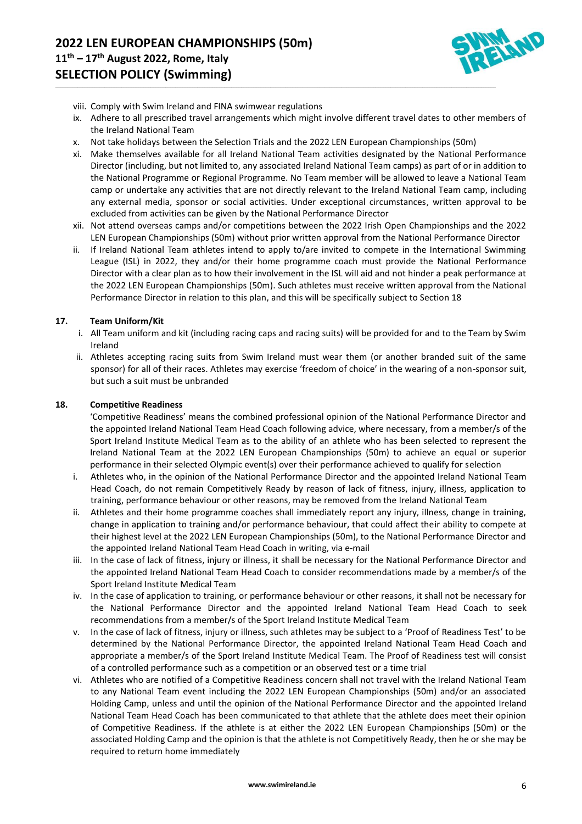

- viii. Comply with Swim Ireland and FINA swimwear regulations
- ix. Adhere to all prescribed travel arrangements which might involve different travel dates to other members of the Ireland National Team
- x. Not take holidays between the Selection Trials and the 2022 LEN European Championships (50m)

\_\_\_\_\_\_\_\_\_\_\_\_\_\_\_\_\_\_\_\_\_\_\_\_\_\_\_\_\_\_\_\_\_\_\_\_\_\_\_\_\_\_\_\_\_\_\_\_\_\_\_\_\_\_\_\_\_\_\_\_\_\_\_\_\_\_\_\_\_\_\_\_\_\_\_\_\_\_\_\_\_\_\_\_\_\_\_\_\_\_\_\_\_\_\_\_\_\_\_\_\_\_\_\_\_\_\_\_\_\_\_\_\_\_\_\_\_\_\_\_\_\_\_\_\_\_\_\_\_\_\_\_\_\_\_\_\_\_\_\_\_\_\_\_\_\_\_\_\_\_\_\_\_\_\_\_\_\_\_\_\_\_\_\_\_\_\_\_\_\_\_\_\_\_\_\_\_\_\_\_

- xi. Make themselves available for all Ireland National Team activities designated by the National Performance Director (including, but not limited to, any associated Ireland National Team camps) as part of or in addition to the National Programme or Regional Programme. No Team member will be allowed to leave a National Team camp or undertake any activities that are not directly relevant to the Ireland National Team camp, including any external media, sponsor or social activities. Under exceptional circumstances, written approval to be excluded from activities can be given by the National Performance Director
- xii. Not attend overseas camps and/or competitions between the 2022 Irish Open Championships and the 2022 LEN European Championships (50m) without prior written approval from the National Performance Director
- ii. If Ireland National Team athletes intend to apply to/are invited to compete in the International Swimming League (ISL) in 2022, they and/or their home programme coach must provide the National Performance Director with a clear plan as to how their involvement in the ISL will aid and not hinder a peak performance at the 2022 LEN European Championships (50m). Such athletes must receive written approval from the National Performance Director in relation to this plan, and this will be specifically subject to Section 18

#### **17. Team Uniform/Kit**

- i. All Team uniform and kit (including racing caps and racing suits) will be provided for and to the Team by Swim Ireland
- ii. Athletes accepting racing suits from Swim Ireland must wear them (or another branded suit of the same sponsor) for all of their races. Athletes may exercise 'freedom of choice' in the wearing of a non-sponsor suit, but such a suit must be unbranded

#### **18. Competitive Readiness**

'Competitive Readiness' means the combined professional opinion of the National Performance Director and the appointed Ireland National Team Head Coach following advice, where necessary, from a member/s of the Sport Ireland Institute Medical Team as to the ability of an athlete who has been selected to represent the Ireland National Team at the 2022 LEN European Championships (50m) to achieve an equal or superior performance in their selected Olympic event(s) over their performance achieved to qualify for selection

- i. Athletes who, in the opinion of the National Performance Director and the appointed Ireland National Team Head Coach, do not remain Competitively Ready by reason of lack of fitness, injury, illness, application to training, performance behaviour or other reasons, may be removed from the Ireland National Team
- ii. Athletes and their home programme coaches shall immediately report any injury, illness, change in training, change in application to training and/or performance behaviour, that could affect their ability to compete at their highest level at the 2022 LEN European Championships (50m), to the National Performance Director and the appointed Ireland National Team Head Coach in writing, via e-mail
- iii. In the case of lack of fitness, injury or illness, it shall be necessary for the National Performance Director and the appointed Ireland National Team Head Coach to consider recommendations made by a member/s of the Sport Ireland Institute Medical Team
- iv. In the case of application to training, or performance behaviour or other reasons, it shall not be necessary for the National Performance Director and the appointed Ireland National Team Head Coach to seek recommendations from a member/s of the Sport Ireland Institute Medical Team
- v. In the case of lack of fitness, injury or illness, such athletes may be subject to a 'Proof of Readiness Test' to be determined by the National Performance Director, the appointed Ireland National Team Head Coach and appropriate a member/s of the Sport Ireland Institute Medical Team. The Proof of Readiness test will consist of a controlled performance such as a competition or an observed test or a time trial
- vi. Athletes who are notified of a Competitive Readiness concern shall not travel with the Ireland National Team to any National Team event including the 2022 LEN European Championships (50m) and/or an associated Holding Camp, unless and until the opinion of the National Performance Director and the appointed Ireland National Team Head Coach has been communicated to that athlete that the athlete does meet their opinion of Competitive Readiness. If the athlete is at either the 2022 LEN European Championships (50m) or the associated Holding Camp and the opinion is that the athlete is not Competitively Ready, then he or she may be required to return home immediately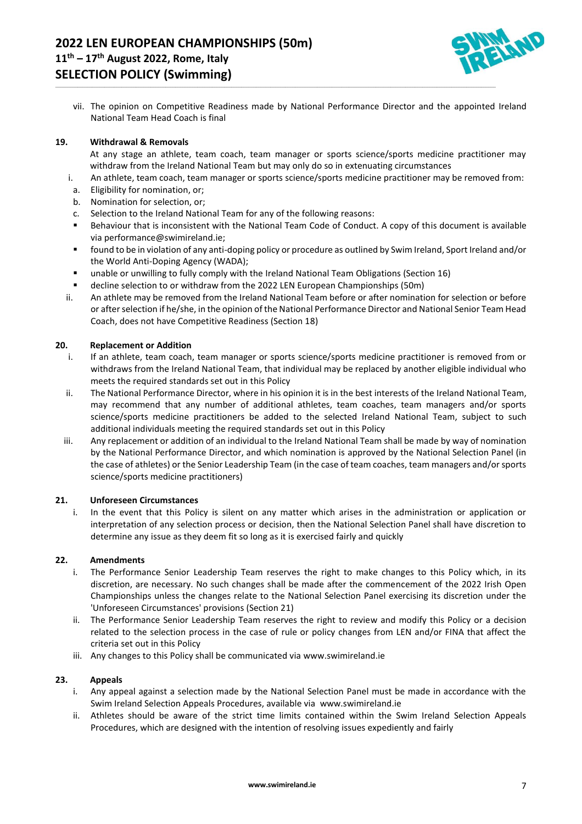

vii. The opinion on Competitive Readiness made by National Performance Director and the appointed Ireland National Team Head Coach is final

\_\_\_\_\_\_\_\_\_\_\_\_\_\_\_\_\_\_\_\_\_\_\_\_\_\_\_\_\_\_\_\_\_\_\_\_\_\_\_\_\_\_\_\_\_\_\_\_\_\_\_\_\_\_\_\_\_\_\_\_\_\_\_\_\_\_\_\_\_\_\_\_\_\_\_\_\_\_\_\_\_\_\_\_\_\_\_\_\_\_\_\_\_\_\_\_\_\_\_\_\_\_\_\_\_\_\_\_\_\_\_\_\_\_\_\_\_\_\_\_\_\_\_\_\_\_\_\_\_\_\_\_\_\_\_\_\_\_\_\_\_\_\_\_\_\_\_\_\_\_\_\_\_\_\_\_\_\_\_\_\_\_\_\_\_\_\_\_\_\_\_\_\_\_\_\_\_\_\_\_

#### **19. Withdrawal & Removals**

At any stage an athlete, team coach, team manager or sports science/sports medicine practitioner may withdraw from the Ireland National Team but may only do so in extenuating circumstances

- i. An athlete, team coach, team manager or sports science/sports medicine practitioner may be removed from:
- a. Eligibility for nomination, or;
- b. Nomination for selection, or;
- c. Selection to the Ireland National Team for any of the following reasons:
- Behaviour that is inconsistent with the National Team Code of Conduct. A copy of this document is available vi[a performance@swimireland.ie;](mailto:performance@swimireland.ie)
- found to be in violation of any anti-doping policy or procedure as outlined by Swim Ireland, Sport Ireland and/or the World Anti-Doping Agency (WADA);
- unable or unwilling to fully comply with the Ireland National Team Obligations (Section 16)
- decline selection to or withdraw from the 2022 LEN European Championships (50m)
- ii. An athlete may be removed from the Ireland National Team before or after nomination for selection or before or after selection if he/she, in the opinion of the National Performance Director and National Senior Team Head Coach, does not have Competitive Readiness (Section 18)

#### **20. Replacement or Addition**

- i. If an athlete, team coach, team manager or sports science/sports medicine practitioner is removed from or withdraws from the Ireland National Team, that individual may be replaced by another eligible individual who meets the required standards set out in this Policy
- ii. The National Performance Director, where in his opinion it is in the best interests of the Ireland National Team, may recommend that any number of additional athletes, team coaches, team managers and/or sports science/sports medicine practitioners be added to the selected Ireland National Team, subject to such additional individuals meeting the required standards set out in this Policy
- iii. Any replacement or addition of an individual to the Ireland National Team shall be made by way of nomination by the National Performance Director, and which nomination is approved by the National Selection Panel (in the case of athletes) or the Senior Leadership Team (in the case of team coaches, team managers and/or sports science/sports medicine practitioners)

#### **21. Unforeseen Circumstances**

i. In the event that this Policy is silent on any matter which arises in the administration or application or interpretation of any selection process or decision, then the National Selection Panel shall have discretion to determine any issue as they deem fit so long as it is exercised fairly and quickly

#### **22. Amendments**

- i. The Performance Senior Leadership Team reserves the right to make changes to this Policy which, in its discretion, are necessary. No such changes shall be made after the commencement of the 2022 Irish Open Championships unless the changes relate to the National Selection Panel exercising its discretion under the 'Unforeseen Circumstances' provisions (Section 21)
- ii. The Performance Senior Leadership Team reserves the right to review and modify this Policy or a decision related to the selection process in the case of rule or policy changes from LEN and/or FINA that affect the criteria set out in this Policy
- iii. Any changes to this Policy shall be communicated via [www.swimireland.ie](http://www.swimireland.ie/)

#### **23. Appeals**

- i. Any appeal against a selection made by the National Selection Panel must be made in accordance with the Swim Ireland Selection Appeals Procedures, available via [www.swimireland.ie](http://www.swimireland.ie/)
- ii. Athletes should be aware of the strict time limits contained within the Swim Ireland Selection Appeals Procedures, which are designed with the intention of resolving issues expediently and fairly